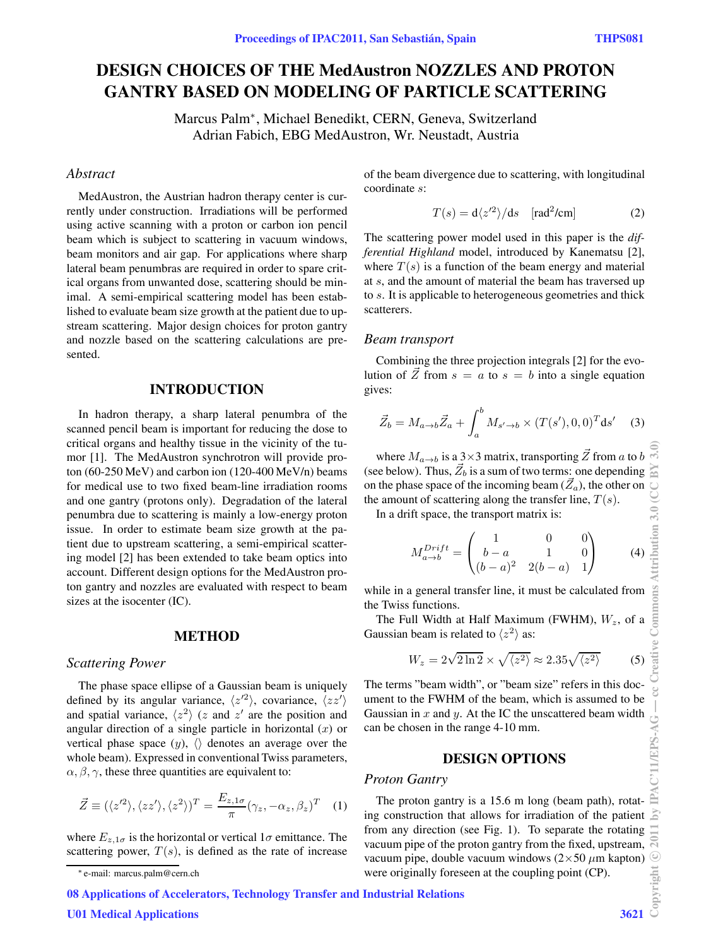# **DESIGN CHOICES OF THE MedAustron NOZZLES AND PROTON GANTRY BASED ON MODELING OF PARTICLE SCATTERING**

Marcus Palm∗, Michael Benedikt, CERN, Geneva, Switzerland Adrian Fabich, EBG MedAustron, Wr. Neustadt, Austria

# *Abstract*

MedAustron, the Austrian hadron therapy center is currently under construction. Irradiations will be performed using active scanning with a proton or carbon ion pencil beam which is subject to scattering in vacuum windows, beam monitors and air gap. For applications where sharp lateral beam penumbras are required in order to spare critical organs from unwanted dose, scattering should be minimal. A semi-empirical scattering model has been established to evaluate beam size growth at the patient due to upstream scattering. Major design choices for proton gantry and nozzle based on the scattering calculations are presented.

# **INTRODUCTION**

In hadron therapy, a sharp lateral penumbra of the scanned pencil beam is important for reducing the dose to critical organs and healthy tissue in the vicinity of the tumor [1]. The MedAustron synchrotron will provide proton (60-250 MeV) and carbon ion (120-400 MeV/n) beams for medical use to two fixed beam-line irradiation rooms and one gantry (protons only). Degradation of the lateral penumbra due to scattering is mainly a low-energy proton issue. In order to estimate beam size growth at the patient due to upstream scattering, a semi-empirical scattering model [2] has been extended to take beam optics into account. Different design options for the MedAustron proton gantry and nozzles are evaluated with respect to beam sizes at the isocenter (IC).

#### **METHOD**

## *Scattering Power*

The phase space ellipse of a Gaussian beam is uniquely defined by its angular variance,  $\langle z'^2 \rangle$ , covariance,  $\langle zz' \rangle$ and spatial variance,  $\langle z^2 \rangle$  (z and  $z'$  are the position and angular direction of a single particle in horizontal  $(x)$  or vertical phase space  $(y)$ ,  $\langle \rangle$  denotes an average over the whole beam). Expressed in conventional Twiss parameters,  $\alpha$ ,  $\beta$ ,  $\gamma$ , these three quantities are equivalent to:

$$
\vec{Z} \equiv (\langle z'^2 \rangle, \langle zz' \rangle, \langle z^2 \rangle)^T = \frac{E_{z,1\sigma}}{\pi} (\gamma_z, -\alpha_z, \beta_z)^T \quad (1)
$$

where  $E_{z,1\sigma}$  is the horizontal or vertical  $1\sigma$  emittance. The scattering power,  $T(s)$ , is defined as the rate of increase of the beam divergence due to scattering, with longitudinal coordinate s:

$$
T(s) = \frac{d\langle z'^2 \rangle}{ds} \quad \text{[rad}^2/\text{cm]} \tag{2}
$$

The scattering power model used in this paper is the *differential Highland* model, introduced by Kanematsu [2], where  $T(s)$  is a function of the beam energy and material at s, and the amount of material the beam has traversed up to s. It is applicable to heterogeneous geometries and thick scatterers.

### *Beam transport*

Combining the three projection integrals [2] for the evolution of  $\vec{Z}$  from  $s = a$  to  $s = b$  into a single equation gives:

$$
\vec{Z}_b = M_{a \to b} \vec{Z}_a + \int_a^b M_{s' \to b} \times (T(s'), 0, 0)^T \, \mathrm{d}s' \quad (3)
$$

where  $M_{a\rightarrow b}$  is a 3×3 matrix, transporting  $\vec{Z}$  from a to b (see below). Thus,  $\vec{Z}_b$  is a sum of two terms: one depending on the phase space of the incoming beam  $(\vec{Z}_a)$ , the other on the amount of scattering along the transfer line,  $T(s)$ .

In a drift space, the transport matrix is:

$$
M_{a \to b}^{Drift} = \begin{pmatrix} 1 & 0 & 0 \\ b - a & 1 & 0 \\ (b - a)^2 & 2(b - a) & 1 \end{pmatrix}
$$
 (4)

while in a general transfer line, it must be calculated from the Twiss functions.

The Full Width at Half Maximum (FWHM),  $W_z$ , of a Gaussian beam is related to  $\langle z^2 \rangle$  as:

$$
W_z = 2\sqrt{2\ln 2} \times \sqrt{\langle z^2 \rangle} \approx 2.35\sqrt{\langle z^2 \rangle} \tag{5}
$$

The terms "beam width", or "beam size" refers in this document to the FWHM of the beam, which is assumed to be Gaussian in  $x$  and  $y$ . At the IC the unscattered beam width can be chosen in the range 4-10 mm.

## **DESIGN OPTIONS**

## *Proton Gantry*

The proton gantry is a 15.6 m long (beam path), rotating construction that allows for irradiation of the patient from any direction (see Fig. 1). To separate the rotating vacuum pipe of the proton gantry from the fixed, upstream, vacuum pipe, double vacuum windows  $(2\times50 \ \mu m \ \text{kapton})$ were originally foreseen at the coupling point (CP).

08 Applications of Accelerators, Technology Transfer and Industrial Relations

U01 Medical Applications 3621

<sup>∗</sup> e-mail: marcus.palm@cern.ch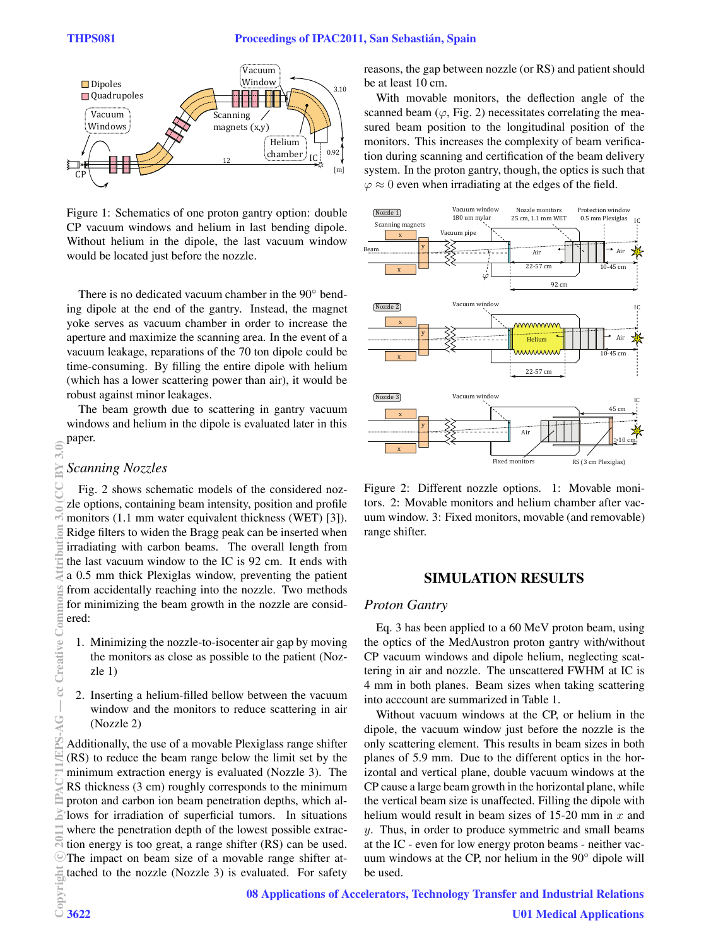

Figure 1: Schematics of one proton gantry option: double CP vacuum windows and helium in last bending dipole. Without helium in the dipole, the last vacuum window would be located just before the nozzle.

There is no dedicated vacuum chamber in the 90◦ bending dipole at the end of the gantry. Instead, the magnet yoke serves as vacuum chamber in order to increase the aperture and maximize the scanning area. In the event of a vacuum leakage, reparations of the 70 ton dipole could be time-consuming. By filling the entire dipole with helium (which has a lower scattering power than air), it would be robust against minor leakages.

The beam growth due to scattering in gantry vacuum windows and helium in the dipole is evaluated later in this paper.

# *Scanning Nozzles*

Fig. 2 shows schematic models of the considered nozzle options, containing beam intensity, position and profile monitors (1.1 mm water equivalent thickness (WET) [3]). Ridge filters to widen the Bragg peak can be inserted when irradiating with carbon beams. The overall length from the last vacuum window to the IC is 92 cm. It ends with a 0.5 mm thick Plexiglas window, preventing the patient from accidentally reaching into the nozzle. Two methods for minimizing the beam growth in the nozzle are considered:

- 1. Minimizing the nozzle-to-isocenter air gap by moving the monitors as close as possible to the patient (Nozzle 1)
- 2. Inserting a helium-filled bellow between the vacuum window and the monitors to reduce scattering in air (Nozzle 2)

Additionally, the use of a movable Plexiglass range shifter (RS) to reduce the beam range below the limit set by the minimum extraction energy is evaluated (Nozzle 3). The RS thickness (3 cm) roughly corresponds to the minimum proton and carbon ion beam penetration depths, which allows for irradiation of superficial tumors. In situations where the penetration depth of the lowest possible extraction energy is too great, a range shifter (RS) can be used. The impact on beam size of a movable range shifter attached to the nozzle (Nozzle 3) is evaluated. For safety reasons, the gap between nozzle (or RS) and patient should be at least 10 cm.

With movable monitors, the deflection angle of the scanned beam  $(\varphi, Fig. 2)$  necessitates correlating the measured beam position to the longitudinal position of the monitors. This increases the complexity of beam verification during scanning and certification of the beam delivery system. In the proton gantry, though, the optics is such that  $\varphi \approx 0$  even when irradiating at the edges of the field.



Figure 2: Different nozzle options. 1: Movable monitors. 2: Movable monitors and helium chamber after vacuum window. 3: Fixed monitors, movable (and removable) range shifter.

## **SIMULATION RESULTS**

#### *Proton Gantry*

Eq. 3 has been applied to a 60 MeV proton beam, using the optics of the MedAustron proton gantry with/without CP vacuum windows and dipole helium, neglecting scattering in air and nozzle. The unscattered FWHM at IC is 4 mm in both planes. Beam sizes when taking scattering into acccount are summarized in Table 1.

Without vacuum windows at the CP, or helium in the dipole, the vacuum window just before the nozzle is the only scattering element. This results in beam sizes in both planes of 5.9 mm. Due to the different optics in the horizontal and vertical plane, double vacuum windows at the CP cause a large beam growth in the horizontal plane, while the vertical beam size is unaffected. Filling the dipole with helium would result in beam sizes of 15-20 mm in  $x$  and  $y$ . Thus, in order to produce symmetric and small beams at the IC - even for low energy proton beams - neither vacuum windows at the CP, nor helium in the 90◦ dipole will be used.

08 Applications of Accelerators, Technology Transfer and Industrial Relations